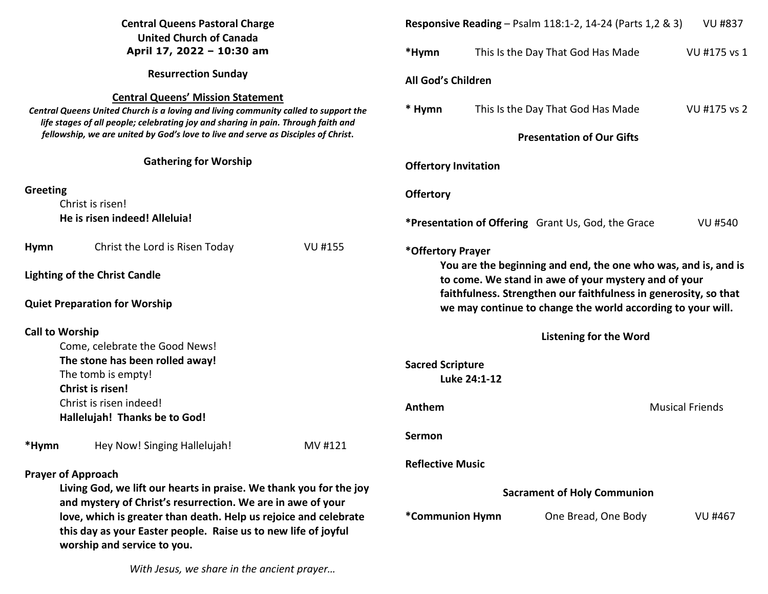| <b>Central Queens Pastoral Charge</b><br><b>United Church of Canada</b>                                                                                                                                                                                                                                   |                                                                                                                                   |                | <b>Responsive Reading</b> – Psalm 118:1-2, 14-24 (Parts 1,2 & 3)<br><b>VU #837</b>                                                                                                                                                                        |                                                                             |  |  |
|-----------------------------------------------------------------------------------------------------------------------------------------------------------------------------------------------------------------------------------------------------------------------------------------------------------|-----------------------------------------------------------------------------------------------------------------------------------|----------------|-----------------------------------------------------------------------------------------------------------------------------------------------------------------------------------------------------------------------------------------------------------|-----------------------------------------------------------------------------|--|--|
| April 17, 2022 - 10:30 am                                                                                                                                                                                                                                                                                 |                                                                                                                                   | *Hymn          | This Is the Day That God Has Made<br>VU #175 vs 1                                                                                                                                                                                                         |                                                                             |  |  |
| <b>Resurrection Sunday</b>                                                                                                                                                                                                                                                                                |                                                                                                                                   |                | All God's Children                                                                                                                                                                                                                                        |                                                                             |  |  |
| <b>Central Queens' Mission Statement</b><br>Central Queens United Church is a loving and living community called to support the<br>life stages of all people; celebrating joy and sharing in pain. Through faith and<br>fellowship, we are united by God's love to live and serve as Disciples of Christ. |                                                                                                                                   |                | * Hymn                                                                                                                                                                                                                                                    | VU #175 vs 2<br>This Is the Day That God Has Made                           |  |  |
|                                                                                                                                                                                                                                                                                                           |                                                                                                                                   |                | <b>Presentation of Our Gifts</b>                                                                                                                                                                                                                          |                                                                             |  |  |
| <b>Gathering for Worship</b>                                                                                                                                                                                                                                                                              |                                                                                                                                   |                | <b>Offertory Invitation</b>                                                                                                                                                                                                                               |                                                                             |  |  |
| Greeting                                                                                                                                                                                                                                                                                                  |                                                                                                                                   |                | <b>Offertory</b>                                                                                                                                                                                                                                          |                                                                             |  |  |
| Christ is risen!                                                                                                                                                                                                                                                                                          |                                                                                                                                   |                |                                                                                                                                                                                                                                                           |                                                                             |  |  |
|                                                                                                                                                                                                                                                                                                           | He is risen indeed! Alleluia!                                                                                                     |                |                                                                                                                                                                                                                                                           | <b>*Presentation of Offering</b> Grant Us, God, the Grace<br><b>VU #540</b> |  |  |
| <b>Hymn</b>                                                                                                                                                                                                                                                                                               | Christ the Lord is Risen Today                                                                                                    | <b>VU #155</b> | *Offertory Prayer                                                                                                                                                                                                                                         |                                                                             |  |  |
|                                                                                                                                                                                                                                                                                                           | <b>Lighting of the Christ Candle</b>                                                                                              |                | You are the beginning and end, the one who was, and is, and is<br>to come. We stand in awe of your mystery and of your<br>faithfulness. Strengthen our faithfulness in generosity, so that<br>we may continue to change the world according to your will. |                                                                             |  |  |
|                                                                                                                                                                                                                                                                                                           | <b>Quiet Preparation for Worship</b>                                                                                              |                |                                                                                                                                                                                                                                                           |                                                                             |  |  |
| <b>Call to Worship</b>                                                                                                                                                                                                                                                                                    |                                                                                                                                   |                | <b>Listening for the Word</b>                                                                                                                                                                                                                             |                                                                             |  |  |
| Come, celebrate the Good News!                                                                                                                                                                                                                                                                            |                                                                                                                                   |                |                                                                                                                                                                                                                                                           |                                                                             |  |  |
| The stone has been rolled away!                                                                                                                                                                                                                                                                           |                                                                                                                                   |                | <b>Sacred Scripture</b>                                                                                                                                                                                                                                   |                                                                             |  |  |
| The tomb is empty!                                                                                                                                                                                                                                                                                        |                                                                                                                                   |                | Luke 24:1-12                                                                                                                                                                                                                                              |                                                                             |  |  |
|                                                                                                                                                                                                                                                                                                           | Christ is risen!                                                                                                                  |                |                                                                                                                                                                                                                                                           |                                                                             |  |  |
| Christ is risen indeed!                                                                                                                                                                                                                                                                                   |                                                                                                                                   |                | Anthem                                                                                                                                                                                                                                                    | <b>Musical Friends</b>                                                      |  |  |
|                                                                                                                                                                                                                                                                                                           | Hallelujah! Thanks be to God!                                                                                                     |                |                                                                                                                                                                                                                                                           |                                                                             |  |  |
| *Hymn                                                                                                                                                                                                                                                                                                     | Hey Now! Singing Hallelujah!                                                                                                      | MV #121        | Sermon                                                                                                                                                                                                                                                    |                                                                             |  |  |
| <b>Prayer of Approach</b>                                                                                                                                                                                                                                                                                 |                                                                                                                                   |                | <b>Reflective Music</b>                                                                                                                                                                                                                                   |                                                                             |  |  |
|                                                                                                                                                                                                                                                                                                           | Living God, we lift our hearts in praise. We thank you for the joy<br>and mystery of Christ's resurrection. We are in awe of your |                | <b>Sacrament of Holy Communion</b>                                                                                                                                                                                                                        |                                                                             |  |  |
| love, which is greater than death. Help us rejoice and celebrate<br>this day as your Easter people. Raise us to new life of joyful<br>worship and service to you.                                                                                                                                         |                                                                                                                                   |                | *Communion Hymn                                                                                                                                                                                                                                           | One Bread, One Body<br><b>VU #467</b>                                       |  |  |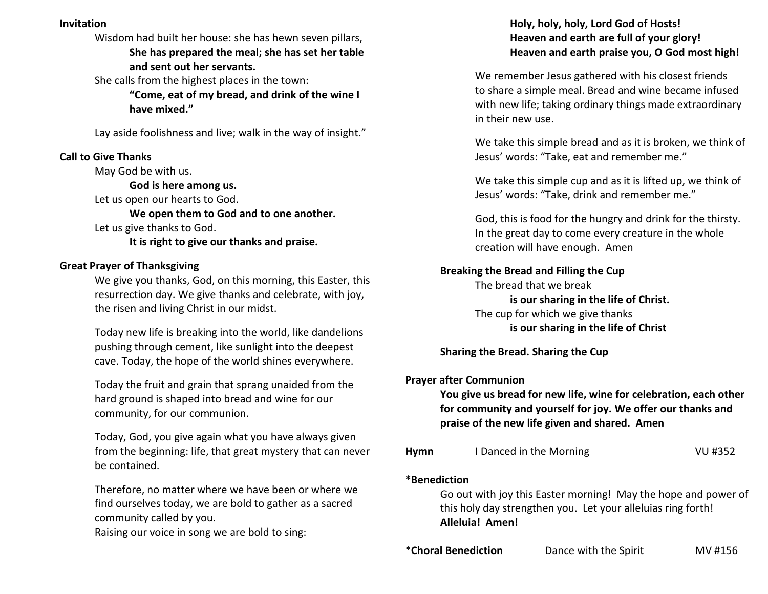# **Invitation**

Wisdom had built her house: she has hewn seven pillars, **She has prepared the meal; she has set her table and sent out her servants.** 

She calls from the highest places in the town:

**"Come, eat of my bread, and drink of the wine I have mixed."** 

Lay aside foolishness and live; walk in the way of insight."

## **Call to Give Thanks**

May God be with us.

**God is here among us.** 

Let us open our hearts to God.

**We open them to God and to one another.** Let us give thanks to God.

**It is right to give our thanks and praise.**

### **Great Prayer of Thanksgiving**

 We give you thanks, God, on this morning, this Easter, this resurrection day. We give thanks and celebrate, with joy, the risen and living Christ in our midst.

Today new life is breaking into the world, like dandelions pushing through cement, like sunlight into the deepest cave. Today, the hope of the world shines everywhere.

Today the fruit and grain that sprang unaided from the hard ground is shaped into bread and wine for our community, for our communion.

Today, God, you give again what you have always given from the beginning: life, that great mystery that can never be contained.

Therefore, no matter where we have been or where we find ourselves today, we are bold to gather as a sacred community called by you.

Raising our voice in song we are bold to sing:

# **Holy, holy, holy, Lord God of Hosts! Heaven and earth are full of your glory! Heaven and earth praise you, O God most high!**

 We remember Jesus gathered with his closest friends to share a simple meal. Bread and wine became infused with new life; taking ordinary things made extraordinary in their new use.

We take this simple bread and as it is broken, we think of Jesus' words: "Take, eat and remember me."

We take this simple cup and as it is lifted up, we think of Jesus' words: "Take, drink and remember me."

 God, this is food for the hungry and drink for the thirsty. In the great day to come every creature in the whole creation will have enough. Amen

## **Breaking the Bread and Filling the Cup**

 The bread that we break **is our sharing in the life of Christ.**  The cup for which we give thanks **is our sharing in the life of Christ** 

 **Sharing the Bread. Sharing the Cup** 

### **Prayer after Communion**

**You give us bread for new life, wine for celebration, each other for community and yourself for joy. We offer our thanks and praise of the new life given and shared. Amen** 

| Hymn | I Danced in the Morning | VU #352 |
|------|-------------------------|---------|
|------|-------------------------|---------|

#### **\*Benediction**

Go out with joy this Easter morning! May the hope and power of this holy day strengthen you. Let your alleluias ring forth!  **Alleluia! Amen!** 

\***Choral Benediction** Dance with the Spirit MV #156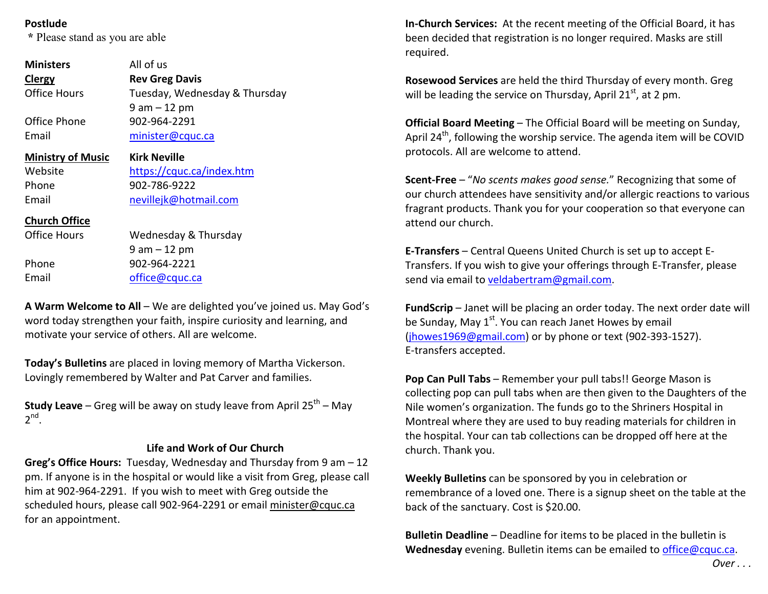## **Postlude**

 **\*** Please stand as you are able

| <b>Ministers</b><br>Clergy | All of us<br><b>Rev Greg Davis</b> |  |  |  |  |
|----------------------------|------------------------------------|--|--|--|--|
| Office Hours               | Tuesday, Wednesday & Thursday      |  |  |  |  |
|                            | $9$ am $-12$ pm                    |  |  |  |  |
| Office Phone               | 902-964-2291                       |  |  |  |  |
| Email                      | minister@cquc.ca                   |  |  |  |  |
| <b>Ministry of Music</b>   | Kirk Neville                       |  |  |  |  |
| Website                    | https://cquc.ca/index.htm          |  |  |  |  |
| Phone                      | 902-786-9222                       |  |  |  |  |
| Email                      | nevillejk@hotmail.com              |  |  |  |  |
| <b>Church Office</b>       |                                    |  |  |  |  |
| Office Hours               | Wednesday & Thursday               |  |  |  |  |
|                            | $9$ am $-12$ pm                    |  |  |  |  |
| Phone                      | 902-964-2221                       |  |  |  |  |
| Email                      | office@cquc.ca                     |  |  |  |  |

**A Warm Welcome to All** – We are delighted you've joined us. May God's word today strengthen your faith, inspire curiosity and learning, and motivate your service of others. All are welcome.

**Today's Bulletins** are placed in loving memory of Martha Vickerson. Lovingly remembered by Walter and Pat Carver and families.

**Study Leave** – Greg will be away on study leave from April 25<sup>th</sup> – May  $2^{nd}$ .

## **Life and Work of Our Church**

**Greg's Office Hours:** Tuesday, Wednesday and Thursday from 9 am – 12 pm. If anyone is in the hospital or would like a visit from Greg, please call him at 902-964-2291. If you wish to meet with Greg outside the scheduled hours, please call 902-964-2291 or email minister@cquc.ca for an appointment.

**In-Church Services:** At the recent meeting of the Official Board, it has been decided that registration is no longer required. Masks are still required.

**Rosewood Services** are held the third Thursday of every month. Greg will be leading the service on Thursday, April 21 $^{st}$ , at 2 pm.

**Official Board Meeting** – The Official Board will be meeting on Sunday, April 24<sup>th</sup>, following the worship service. The agenda item will be COVID protocols. All are welcome to attend.

**Scent-Free** – "*No scents makes good sense.*" Recognizing that some of our church attendees have sensitivity and/or allergic reactions to various fragrant products. Thank you for your cooperation so that everyone can attend our church.

**E-Transfers** – Central Queens United Church is set up to accept E-Transfers. If you wish to give your offerings through E-Transfer, please send via email to veldabertram@gmail.com.

**FundScrip** – Janet will be placing an order today. The next order date will be Sunday, May  $1<sup>st</sup>$ . You can reach Janet Howes by email (jhowes1969@gmail.com) or by phone or text (902-393-1527). E-transfers accepted.

**Pop Can Pull Tabs** – Remember your pull tabs!! George Mason is collecting pop can pull tabs when are then given to the Daughters of the Nile women's organization. The funds go to the Shriners Hospital in Montreal where they are used to buy reading materials for children in the hospital. Your can tab collections can be dropped off here at the church. Thank you.

**Weekly Bulletins** can be sponsored by you in celebration or remembrance of a loved one. There is a signup sheet on the table at the back of the sanctuary. Cost is \$20.00.

**Bulletin Deadline** – Deadline for items to be placed in the bulletin is **Wednesday** evening. Bulletin items can be emailed to office@cquc.ca.